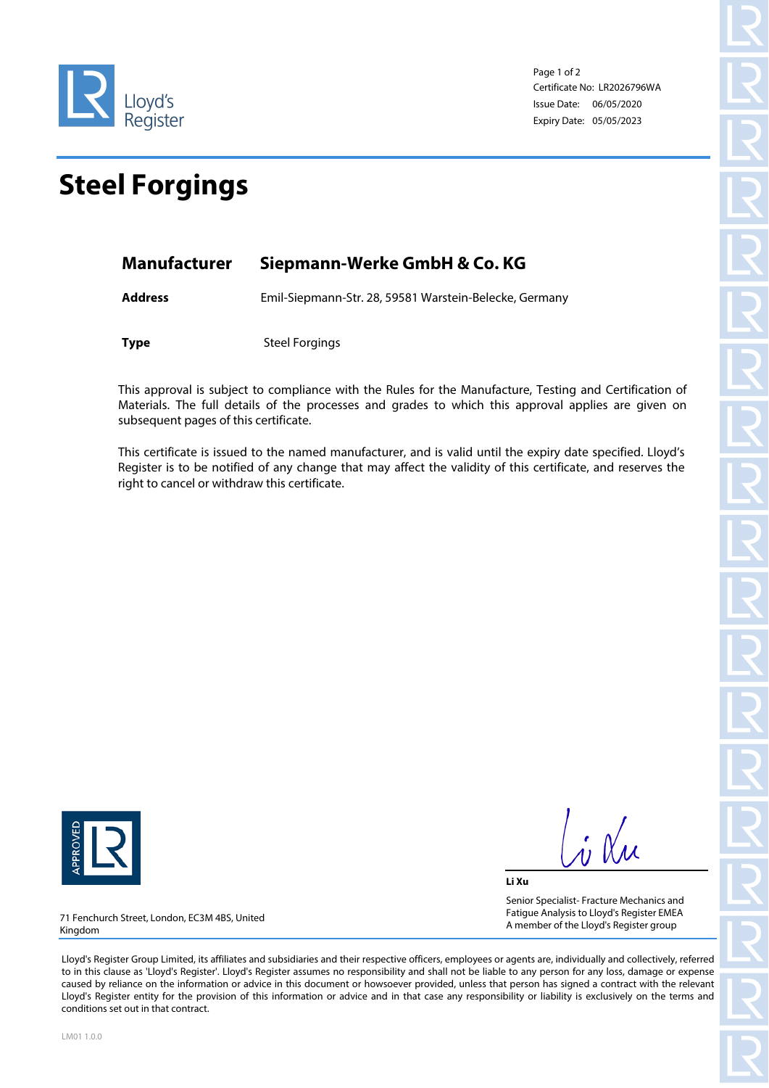

Page 1 of 2 Certificate No: LR2026796WA Issue Date: 06/05/2020 Expiry Date: 05/05/2023

## **Steel Forgings**

| Manufacturer | Siepmann-Werke GmbH & Co. KG |  |
|--------------|------------------------------|--|
|              |                              |  |

**Address** Emil-Siepmann-Str. 28, 59581 Warstein-Belecke, Germany

**Type** Steel Forgings

This approval is subject to compliance with the Rules for the Manufacture, Testing and Certification of Materials. The full details of the processes and grades to which this approval applies are given on subsequent pages of this certificate.

This certificate is issued to the named manufacturer, and is valid until the expiry date specified. Lloyd's Register is to be notified of any change that may affect the validity of this certificate, and reserves the right to cancel or withdraw this certificate.



 $\frac{1}{4}$   $\alpha$ 

**Li Xu** Senior Specialist- Fracture Mechanics and Fatigue Analysis to Lloyd's Register EMEA A member of the Lloyd's Register group

71 Fenchurch Street, London, EC3M 4BS, United Kingdom

Lloyd's Register Group Limited, its affiliates and subsidiaries and their respective officers, employees or agents are, individually and collectively, referred to in this clause as 'Lloyd's Register'. Lloyd's Register assumes no responsibility and shall not be liable to any person for any loss, damage or expense caused by reliance on the information or advice in this document or howsoever provided, unless that person has signed a contract with the relevant Lloyd's Register entity for the provision of this information or advice and in that case any responsibility or liability is exclusively on the terms and conditions set out in that contract.